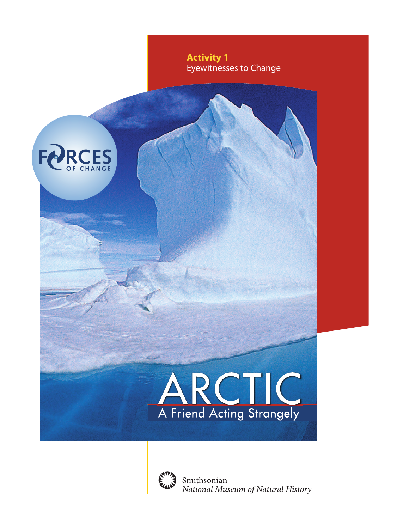

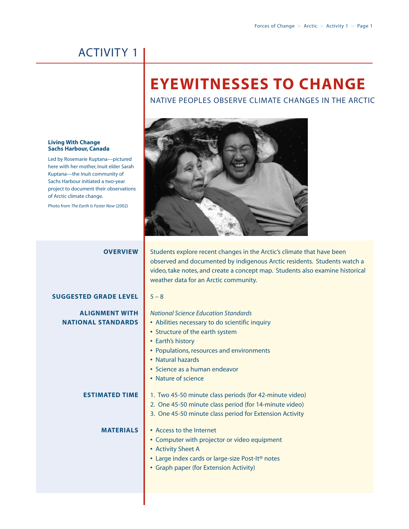## ACTIVITY 1

# **EYEWITNESSES TO CHANGE**

NATIVE PEOPLES OBSERVE CLIMATE CHANGES IN THE ARCTIC

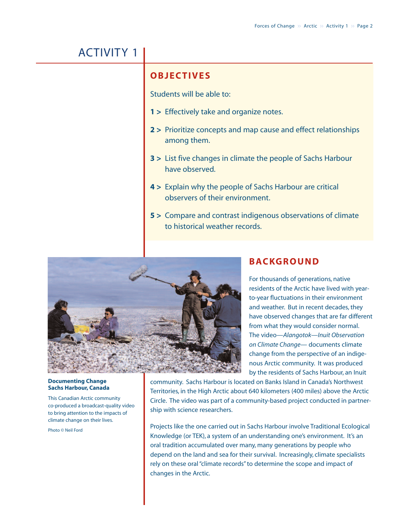# ACTIVITY 1

### **OBJECTIVES**

Students will be able to:

- **1 >** Effectively take and organize notes.
- **2 >** Prioritize concepts and map cause and effect relationships among them.
- **3 >** List five changes in climate the people of Sachs Harbour have observed.
- **4 >** Explain why the people of Sachs Harbour are critical observers of their environment.
- **5 >** Compare and contrast indigenous observations of climate to historical weather records.



### **BACKGROUND**

For thousands of generations, native residents of the Arctic have lived with yearto-year fluctuations in their environment and weather. But in recent decades, they have observed changes that are far different from what they would consider normal. The video—*Alangotok—Inuit Observation on Climate Change*— documents climate change from the perspective of an indigenous Arctic community. It was produced by the residents of Sachs Harbour, an Inuit

#### **Documenting Change Sachs Harbour, Canada**

This Canadian Arctic community co-produced a broadcast-quality video to bring attention to the impacts of climate change on their lives.

Photo © Neil Ford

community. Sachs Harbour is located on Banks Island in Canada's Northwest Territories, in the High Arctic about 640 kilometers (400 miles) above the Arctic Circle. The video was part of a community-based project conducted in partnership with science researchers.

Projects like the one carried out in Sachs Harbour involve Traditional Ecological Knowledge (or TEK), a system of an understanding one's environment. It's an oral tradition accumulated over many, many generations by people who depend on the land and sea for their survival. Increasingly, climate specialists rely on these oral "climate records" to determine the scope and impact of changes in the Arctic.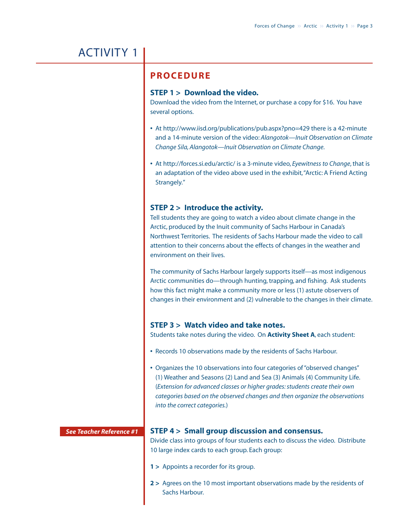# ACTIVITY 1

### **PROCEDURE**

### **STEP 1 > Download the video.**

Download the video from the Internet, or purchase a copy for \$16. You have several options.

- **•** At<http://www.iisd.org/publications/pub.aspx?pno=429> there is a 42-minute and a 14-minute version of the video: *Alangotok—Inuit Observation on Climate Change Sila, Alangotok—Inuit Observation on Climate Change*.
- **•** At<http://forces.si.edu/arctic/> is a 3-minute video, *Eyewitness to Change*, that is an adaptation of the video above used in the exhibit,"Arctic: A Friend Acting Strangely."

### **STEP 2 > Introduce the activity.**

Tell students they are going to watch a video about climate change in the Arctic, produced by the Inuit community of Sachs Harbour in Canada's Northwest Territories. The residents of Sachs Harbour made the video to call attention to their concerns about the effects of changes in the weather and environment on their lives.

The community of Sachs Harbour largely supports itself—as most indigenous Arctic communities do—through hunting, trapping, and fishing. Ask students how this fact might make a community more or less (1) astute observers of changes in their environment and (2) vulnerable to the changes in their climate.

### **STEP 3 > Watch video and take notes.**

Students take notes during the video. On **Activity Sheet A**, each student:

- **•** Records 10 observations made by the residents of Sachs Harbour.
- **•** Organizes the 10 observations into four categories of "observed changes" (1) Weather and Seasons (2) Land and Sea (3) Animals (4) Community Life. (*Extension for advanced classes or higher grades: students create their own categories based on the observed changes and then organize the observations into the correct categories.*)

#### *See Teacher Reference #1*

### **STEP 4 > Small group discussion and consensus.**

Divide class into groups of four students each to discuss the video. Distribute 10 large index cards to each group. Each group:

- **1 >** Appoints a recorder for its group.
- **2 >** Agrees on the 10 most important observations made by the residents of Sachs Harbour.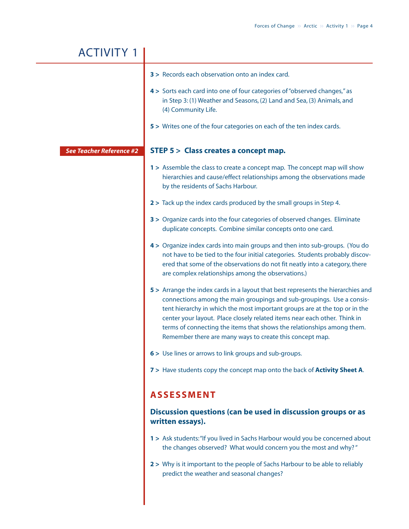| <b>ACTIVITY 1</b>               |                                                                                                                                                                                                                                                                                                                                                                                                                                                            |
|---------------------------------|------------------------------------------------------------------------------------------------------------------------------------------------------------------------------------------------------------------------------------------------------------------------------------------------------------------------------------------------------------------------------------------------------------------------------------------------------------|
|                                 | 3 > Records each observation onto an index card.<br>4> Sorts each card into one of four categories of "observed changes," as<br>in Step 3: (1) Weather and Seasons, (2) Land and Sea, (3) Animals, and<br>(4) Community Life.<br>5 > Writes one of the four categories on each of the ten index cards.                                                                                                                                                     |
| <b>See Teacher Reference #2</b> | <b>STEP 5 &gt; Class creates a concept map.</b>                                                                                                                                                                                                                                                                                                                                                                                                            |
|                                 | 1 > Assemble the class to create a concept map. The concept map will show<br>hierarchies and cause/effect relationships among the observations made<br>by the residents of Sachs Harbour.                                                                                                                                                                                                                                                                  |
|                                 | 2 > Tack up the index cards produced by the small groups in Step 4.                                                                                                                                                                                                                                                                                                                                                                                        |
|                                 | 3 > Organize cards into the four categories of observed changes. Eliminate<br>duplicate concepts. Combine similar concepts onto one card.                                                                                                                                                                                                                                                                                                                  |
|                                 | 4> Organize index cards into main groups and then into sub-groups. (You do<br>not have to be tied to the four initial categories. Students probably discov-<br>ered that some of the observations do not fit neatly into a category, there<br>are complex relationships among the observations.)                                                                                                                                                           |
|                                 | 5 > Arrange the index cards in a layout that best represents the hierarchies and<br>connections among the main groupings and sub-groupings. Use a consis-<br>tent hierarchy in which the most important groups are at the top or in the<br>center your layout. Place closely related items near each other. Think in<br>terms of connecting the items that shows the relationships among them.<br>Remember there are many ways to create this concept map. |
|                                 | 6 > Use lines or arrows to link groups and sub-groups.                                                                                                                                                                                                                                                                                                                                                                                                     |
|                                 | 7> Have students copy the concept map onto the back of Activity Sheet A.                                                                                                                                                                                                                                                                                                                                                                                   |
|                                 | <b>ASSESSMENT</b>                                                                                                                                                                                                                                                                                                                                                                                                                                          |
|                                 | Discussion questions (can be used in discussion groups or as<br>written essays).                                                                                                                                                                                                                                                                                                                                                                           |
|                                 | 1 > Ask students: "If you lived in Sachs Harbour would you be concerned about<br>the changes observed? What would concern you the most and why?"                                                                                                                                                                                                                                                                                                           |
|                                 | 2 > Why is it important to the people of Sachs Harbour to be able to reliably<br>predict the weather and seasonal changes?                                                                                                                                                                                                                                                                                                                                 |
|                                 |                                                                                                                                                                                                                                                                                                                                                                                                                                                            |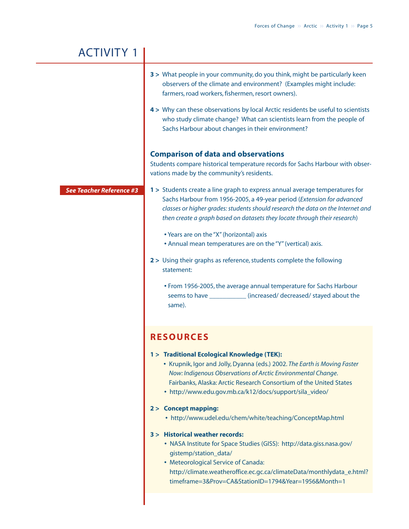| <b>ACTIVITY 1</b>               |                                                                                                                                                                                                                                                                                                                           |
|---------------------------------|---------------------------------------------------------------------------------------------------------------------------------------------------------------------------------------------------------------------------------------------------------------------------------------------------------------------------|
|                                 | 3 > What people in your community, do you think, might be particularly keen<br>observers of the climate and environment? (Examples might include:<br>farmers, road workers, fishermen, resort owners).                                                                                                                    |
|                                 | 4> Why can these observations by local Arctic residents be useful to scientists<br>who study climate change? What can scientists learn from the people of<br>Sachs Harbour about changes in their environment?                                                                                                            |
|                                 | <b>Comparison of data and observations</b><br>Students compare historical temperature records for Sachs Harbour with obser-<br>vations made by the community's residents.                                                                                                                                                 |
| <b>See Teacher Reference #3</b> | 1 > Students create a line graph to express annual average temperatures for<br>Sachs Harbour from 1956-2005, a 49-year period (Extension for advanced<br>classes or higher grades: students should research the data on the Internet and<br>then create a graph based on datasets they locate through their research)     |
|                                 | • Years are on the "X" (horizontal) axis<br>• Annual mean temperatures are on the "Y" (vertical) axis.                                                                                                                                                                                                                    |
|                                 | 2 > Using their graphs as reference, students complete the following<br>statement:                                                                                                                                                                                                                                        |
|                                 | • From 1956-2005, the average annual temperature for Sachs Harbour<br>seems to have _____________ (increased/ decreased/ stayed about the<br>same).                                                                                                                                                                       |
|                                 | <b>RESOURCES</b>                                                                                                                                                                                                                                                                                                          |
|                                 | 1 > Traditional Ecological Knowledge (TEK):<br>• Krupnik, Igor and Jolly, Dyanna (eds.) 2002. The Earth is Moving Faster<br>Now: Indigenous Observations of Arctic Environmental Change.<br>Fairbanks, Alaska: Arctic Research Consortium of the United States<br>• http://www.edu.gov.mb.ca/k12/docs/support/sila_video/ |
|                                 | 2 > Concept mapping:<br>• http://www.udel.edu/chem/white/teaching/ConceptMap.html                                                                                                                                                                                                                                         |
|                                 | 3 > Historical weather records:<br>• NASA Institute for Space Studies (GISS): http://data.giss.nasa.gov/<br>gistemp/station_data/<br>• Meteorological Service of Canada:<br>http://climate.weatheroffice.ec.gc.ca/climateData/monthlydata_e.html?<br>timeframe=3&Prov=CA&StationID=1794&Year=1956&Month=1                 |
|                                 |                                                                                                                                                                                                                                                                                                                           |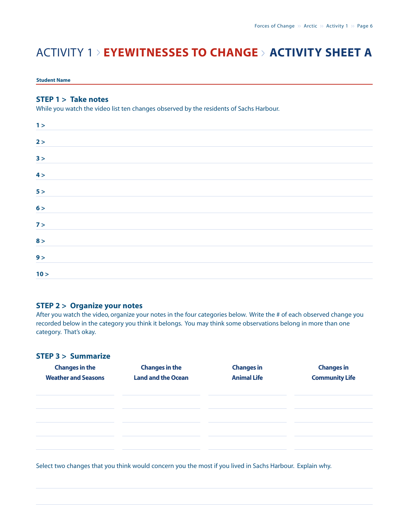# ACTIVITY 1 > **EYEWITNESSES TO CHANGE** <sup>&</sup>gt; **ACTIVITY SHEET A**

#### **Student Name**

### **STEP 1 > Take notes**

While you watch the video list ten changes observed by the residents of Sachs Harbour.

| 1 >  |  |  |
|------|--|--|
| 2 >  |  |  |
| 3 >  |  |  |
| 4 >  |  |  |
| 5 >  |  |  |
| 6 >  |  |  |
| 7 >  |  |  |
| 8 >  |  |  |
| 9 >  |  |  |
| 10 > |  |  |

### **STEP 2 > Organize your notes**

After you watch the video, organize your notes in the four categories below. Write the # of each observed change you recorded below in the category you think it belongs. You may think some observations belong in more than one category. That's okay.

### **STEP 3 > Summarize**

| <b>Changes in the</b><br><b>Weather and Seasons</b> | <b>Changes in the</b><br><b>Land and the Ocean</b> | <b>Changes in</b><br><b>Animal Life</b> | <b>Changes in</b><br><b>Community Life</b> |
|-----------------------------------------------------|----------------------------------------------------|-----------------------------------------|--------------------------------------------|
|                                                     |                                                    |                                         |                                            |
|                                                     |                                                    |                                         |                                            |
|                                                     |                                                    |                                         |                                            |

Select two changes that you think would concern you the most if you lived in Sachs Harbour. Explain why.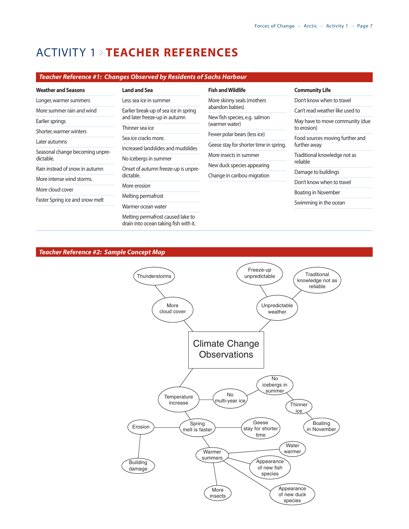## ACTIVITY 1 <sup>&</sup>gt; **TEACHER REFERENCES**

### *Teacher Reference #1: Changes Observed by Residents of Sachs Harbour*

| <b>Weather and Seasons</b>                   | <b>Land and Sea</b>                                                                                                                                                              | <b>Fish and Wildlife</b>                                                        | <b>Community Life</b>                                                           |
|----------------------------------------------|----------------------------------------------------------------------------------------------------------------------------------------------------------------------------------|---------------------------------------------------------------------------------|---------------------------------------------------------------------------------|
| Longer, warmer summers                       | Less sea ice in summer                                                                                                                                                           | More skinny seals (mothers<br>abandon babies)                                   | Don't know when to travel                                                       |
| More summer rain and wind                    | Earlier break-up of sea ice in spring<br>and later freeze-up in autumn<br>Thinner sea ice<br>Sea ice cracks more.<br>Increased landslides and mudslides<br>No icebergs in summer |                                                                                 | Can't read weather like used to                                                 |
| Earlier springs                              |                                                                                                                                                                                  | New fish species, e.g. salmon<br>(warmer water)<br>Fewer polar bears (less ice) | May have to move community (due<br>to erosion)                                  |
| Shorter, warmer winters                      |                                                                                                                                                                                  |                                                                                 |                                                                                 |
|                                              |                                                                                                                                                                                  |                                                                                 | Food sources moving further and<br>further away<br>Traditional knowledge not as |
| Later autumns                                |                                                                                                                                                                                  | Geese stay for shorter time in spring.                                          |                                                                                 |
| Seasonal change becoming unpre-<br>dictable. |                                                                                                                                                                                  | More insects in summer                                                          |                                                                                 |
|                                              |                                                                                                                                                                                  | New duck species appearing                                                      | reliable                                                                        |
| Rain instead of snow in autumn               | Onset of autumn freeze-up is unpre-<br>dictable.                                                                                                                                 | Change in caribou migration                                                     | Damage to buildings                                                             |
| More intense wind storms.                    |                                                                                                                                                                                  |                                                                                 | Don't know when to travel                                                       |
| More cloud cover                             | More erosion                                                                                                                                                                     |                                                                                 | Boating in November                                                             |
| Faster Spring ice and snow melt              | Melting permafrost                                                                                                                                                               |                                                                                 |                                                                                 |
|                                              | Warmer ocean water                                                                                                                                                               |                                                                                 | Swimming in the ocean                                                           |
|                                              | Melting permafrost caused lake to<br>drain into ocean taking fish with it.                                                                                                       |                                                                                 |                                                                                 |

#### *Teacher Reference #2: Sample Concept Map*